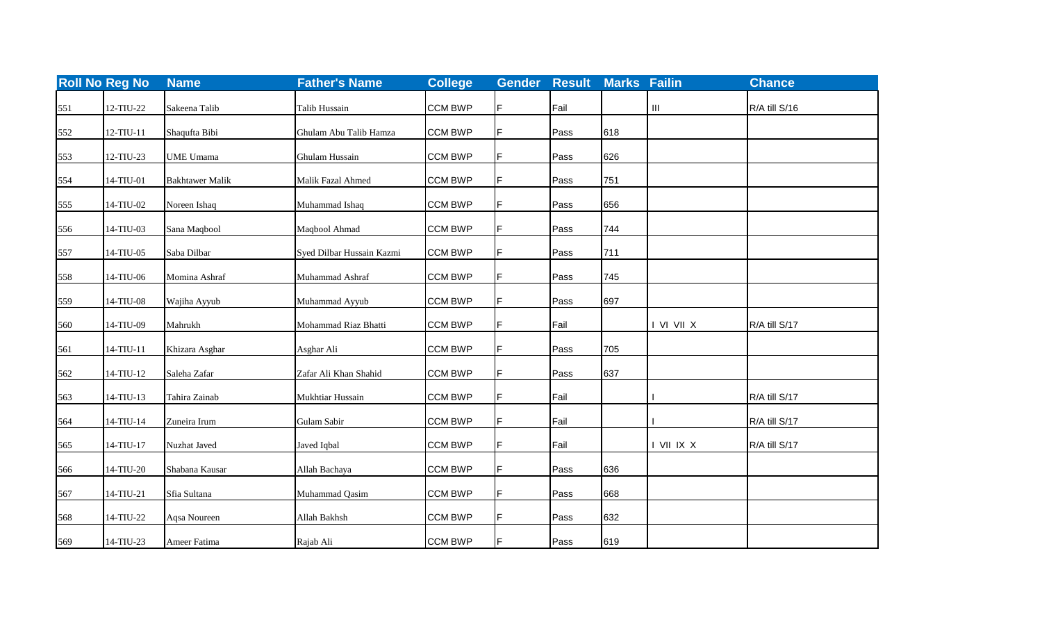|     | <b>Roll No Reg No</b> | <b>Name</b>            | <b>Father's Name</b>      | <b>College</b> | <b>Gender</b> | <b>Result</b> | <b>Marks Failin</b> |                                    | <b>Chance</b> |
|-----|-----------------------|------------------------|---------------------------|----------------|---------------|---------------|---------------------|------------------------------------|---------------|
| 551 | 12-TIU-22             | Sakeena Talib          | Talib Hussain             | <b>CCM BWP</b> | F             | Fail          |                     | $\ensuremath{\mathsf{III}}\xspace$ | R/A till S/16 |
| 552 | 12-TIU-11             | Shaqufta Bibi          | Ghulam Abu Talib Hamza    | <b>CCM BWP</b> | F             | Pass          | 618                 |                                    |               |
| 553 | 12-TIU-23             | <b>UME Umama</b>       | Ghulam Hussain            | <b>CCM BWP</b> | F.            | Pass          | 626                 |                                    |               |
| 554 | 14-TIU-01             | <b>Bakhtawer Malik</b> | Malik Fazal Ahmed         | <b>CCM BWP</b> | F             | Pass          | 751                 |                                    |               |
| 555 | 14-TIU-02             | Noreen Ishaq           | Muhammad Ishaq            | <b>CCM BWP</b> | F             | Pass          | 656                 |                                    |               |
| 556 | 14-TIU-03             | Sana Maqbool           | Maqbool Ahmad             | <b>CCM BWP</b> | F             | Pass          | 744                 |                                    |               |
| 557 | 14-TIU-05             | Saba Dilbar            | Syed Dilbar Hussain Kazmi | <b>CCM BWP</b> | F             | Pass          | 711                 |                                    |               |
| 558 | 14-TIU-06             | Momina Ashraf          | Muhammad Ashraf           | <b>CCM BWP</b> | F             | Pass          | 745                 |                                    |               |
| 559 | 14-TIU-08             | Wajiha Ayyub           | Muhammad Ayyub            | <b>CCM BWP</b> | F.            | Pass          | 697                 |                                    |               |
| 560 | 14-TIU-09             | Mahrukh                | Mohammad Riaz Bhatti      | <b>CCM BWP</b> | F             | Fail          |                     | I VI VII X                         | R/A till S/17 |
| 561 | 14-TIU-11             | Khizara Asghar         | Asghar Ali                | <b>CCM BWP</b> | F             | Pass          | 705                 |                                    |               |
| 562 | $14-TIU-12$           | Saleha Zafar           | Zafar Ali Khan Shahid     | <b>CCM BWP</b> | $\mathsf F$   | Pass          | 637                 |                                    |               |
| 563 | 14-TIU-13             | Tahira Zainab          | Mukhtiar Hussain          | <b>CCM BWP</b> | F.            | Fail          |                     |                                    | R/A till S/17 |
| 564 | 14-TIU-14             | Zuneira Irum           | Gulam Sabir               | <b>CCM BWP</b> | F             | Fail          |                     |                                    | R/A till S/17 |
| 565 | 14-TIU-17             | Nuzhat Javed           | Javed Iqbal               | <b>CCM BWP</b> | F             | Fail          |                     | I VII IX X                         | R/A till S/17 |
| 566 | 14-TIU-20             | Shabana Kausar         | Allah Bachaya             | <b>CCM BWP</b> | F.            | Pass          | 636                 |                                    |               |
| 567 | 14-TIU-21             | Sfia Sultana           | Muhammad Qasim            | <b>CCM BWP</b> | F             | Pass          | 668                 |                                    |               |
| 568 | 14-TIU-22             | Aqsa Noureen           | Allah Bakhsh              | <b>CCM BWP</b> | F             | Pass          | 632                 |                                    |               |
| 569 | 14-TIU-23             | Ameer Fatima           | Rajab Ali                 | <b>CCM BWP</b> | F.            | Pass          | 619                 |                                    |               |